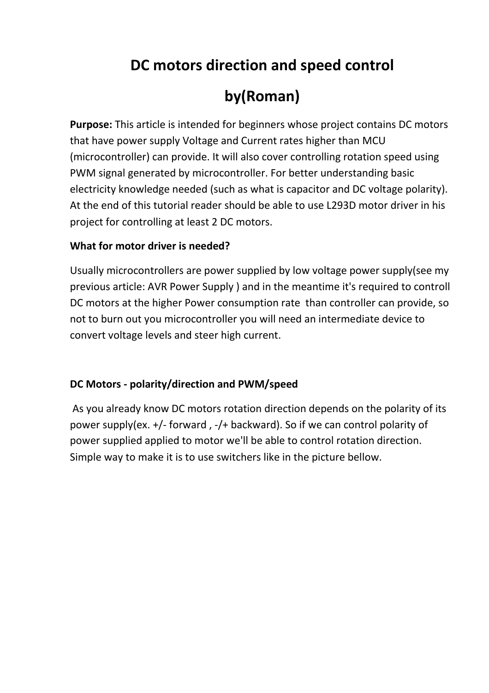## **DC motors direction and speed control**

# **by(Roman)**

**Purpose:** This article is intended for beginners whose project contains DC motors that have power supply Voltage and Current rates higher than MCU (microcontroller) can provide. It will also cover controlling rotation speed using PWM signal generated by microcontroller. For better understanding basic electricity knowledge needed (such as what is capacitor and DC voltage polarity). At the end of this tutorial reader should be able to use L293D motor driver in his project for controlling at least 2 DC motors.

#### **What for motor driver is needed?**

Usually microcontrollers are power supplied by low voltage power supply(see my previous article: AVR Power Supply ) and in the meantime it's required to controll DC motors at the higher Power consumption rate than controller can provide, so not to burn out you microcontroller you will need an intermediate device to convert voltage levels and steer high current.

#### **DC Motors - polarity/direction and PWM/speed**

 As you already know DC motors rotation direction depends on the polarity of its power supply(ex. +/- forward , -/+ backward). So if we can control polarity of power supplied applied to motor we'll be able to control rotation direction. Simple way to make it is to use switchers like in the picture bellow.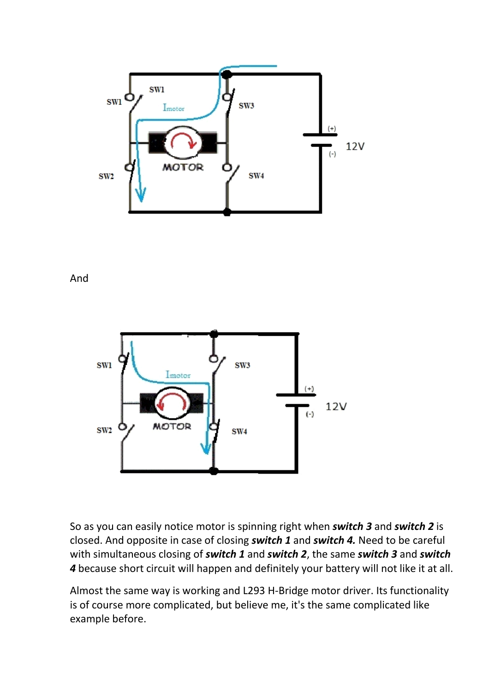

And



So as you can easily notice motor is spinning right when *switch 3* and *switch 2* is closed. And opposite in case of closing *switch 1* and *switch 4.* Need to be careful with simultaneous closing of *switch 1* and *switch 2*, the same *switch 3* and *switch 4* because short circuit will happen and definitely your battery will not like it at all.

Almost the same way is working and L293 H-Bridge motor driver. Its functionality is of course more complicated, but believe me, it's the same complicated like example before.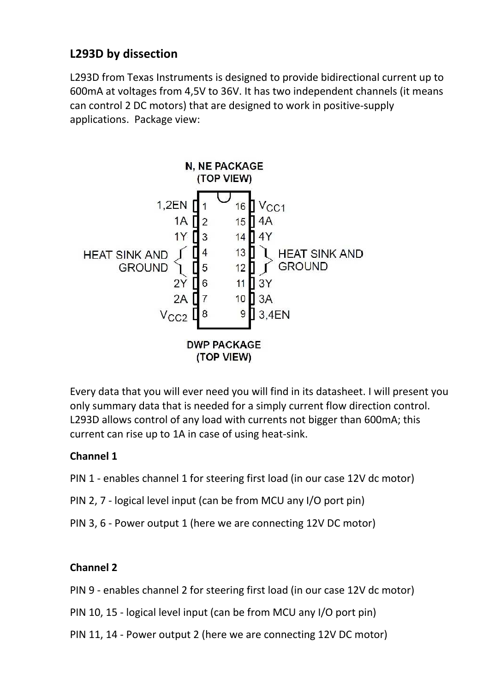## **L293D by dissection**

L293D from Texas Instruments is designed to provide bidirectional current up to 600mA at voltages from 4,5V to 36V. It has two independent channels (it means can control 2 DC motors) that are designed to work in positive-supply applications. Package view:



Every data that you will ever need you will find in its datasheet. I will present you only summary data that is needed for a simply current flow direction control. L293D allows control of any load with currents not bigger than 600mA; this current can rise up to 1A in case of using heat-sink.

#### **Channel 1**

- PIN 1 enables channel 1 for steering first load (in our case 12V dc motor)
- PIN 2, 7 logical level input (can be from MCU any I/O port pin)
- PIN 3, 6 Power output 1 (here we are connecting 12V DC motor)

#### **Channel 2**

- PIN 9 enables channel 2 for steering first load (in our case 12V dc motor)
- PIN 10, 15 logical level input (can be from MCU any I/O port pin)
- PIN 11, 14 Power output 2 (here we are connecting 12V DC motor)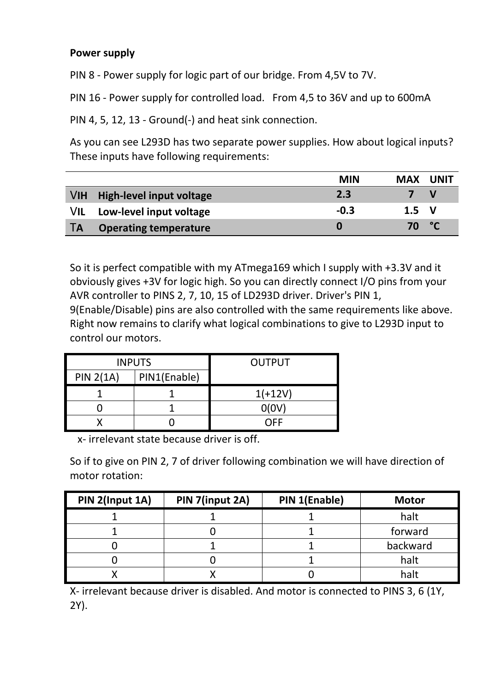#### **Power supply**

PIN 8 - Power supply for logic part of our bridge. From 4,5V to 7V.

PIN 16 - Power supply for controlled load. From 4,5 to 36V and up to 600mA

PIN 4, 5, 12, 13 - Ground(-) and heat sink connection.

As you can see L293D has two separate power supplies. How about logical inputs? These inputs have following requirements:

|           |                              | <b>MIN</b> | <b>MAX</b>   | UNIT |
|-----------|------------------------------|------------|--------------|------|
|           | VIH High-level input voltage | 2.3        |              | V    |
| VIL       | Low-level input voltage      | $-0.3$     | $1.5\quad V$ |      |
| <b>TA</b> | <b>Operating temperature</b> | 0          | 70           | P°C  |

So it is perfect compatible with my ATmega169 which I supply with +3.3V and it obviously gives +3V for logic high. So you can directly connect I/O pins from your AVR controller to PINS 2, 7, 10, 15 of LD293D driver. Driver's PIN 1, 9(Enable/Disable) pins are also controlled with the same requirements like above. Right now remains to clarify what logical combinations to give to L293D input to control our motors.

|                  | <b>INPUTS</b> | <b>OUTPUT</b> |
|------------------|---------------|---------------|
| <b>PIN 2(1A)</b> | PIN1(Enable)  |               |
|                  |               | $1(+12V)$     |
|                  |               | O(OV)         |
|                  |               | NFF           |

x- irrelevant state because driver is off.

So if to give on PIN 2, 7 of driver following combination we will have direction of motor rotation:

| PIN 2(Input 1A) | PIN 7(input 2A) | PIN 1(Enable) | <b>Motor</b> |
|-----------------|-----------------|---------------|--------------|
|                 |                 |               | halt         |
|                 |                 |               | forward      |
|                 |                 |               | backward     |
|                 |                 |               | halt         |
|                 |                 |               | halt         |

X- irrelevant because driver is disabled. And motor is connected to PINS 3, 6 (1Y, 2Y).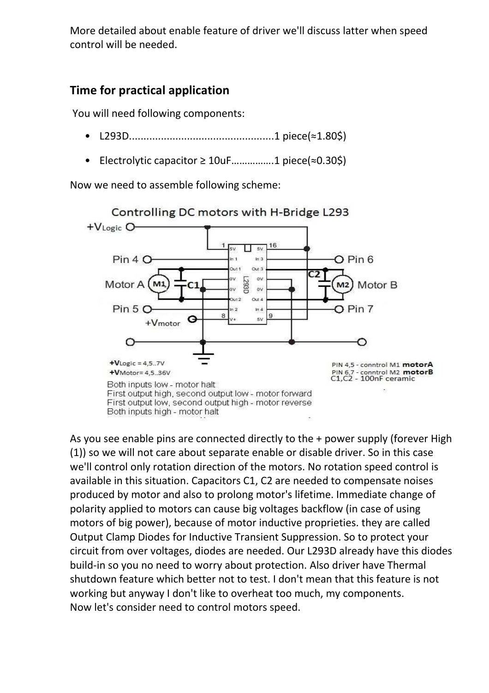More detailed about enable feature of driver we'll discuss latter when speed control will be needed.

## **Time for practical application**

You will need following components:

- L293D..................................................1 piece(≈1.80\$)
- Electrolytic capacitor ≥ 10uF…………….1 piece(≈0.30\$)

Now we need to assemble following scheme:



As you see enable pins are connected directly to the + power supply (forever High (1)) so we will not care about separate enable or disable driver. So in this case we'll control only rotation direction of the motors. No rotation speed control is available in this situation. Capacitors C1, C2 are needed to compensate noises produced by motor and also to prolong motor's lifetime. Immediate change of polarity applied to motors can cause big voltages backflow (in case of using motors of big power), because of motor inductive proprieties. they are called Output Clamp Diodes for Inductive Transient Suppression. So to protect your circuit from over voltages, diodes are needed. Our L293D already have this diodes build-in so you no need to worry about protection. Also driver have Thermal shutdown feature which better not to test. I don't mean that this feature is not working but anyway I don't like to overheat too much, my components. Now let's consider need to control motors speed.

Controlling DC motors with H-Bridge L293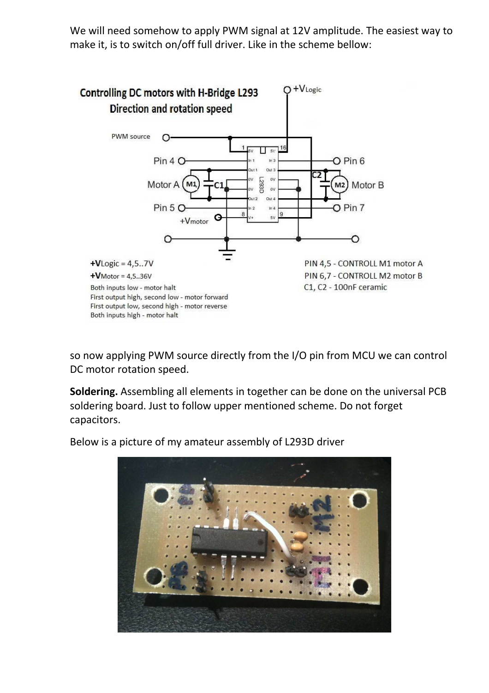We will need somehow to apply PWM signal at 12V amplitude. The easiest way to make it, is to switch on/off full driver. Like in the scheme bellow:



so now applying PWM source directly from the I/O pin from MCU we can control DC motor rotation speed.

**Soldering.** Assembling all elements in together can be done on the universal PCB soldering board. Just to follow upper mentioned scheme. Do not forget capacitors.

Below is a picture of my amateur assembly of L293D driver